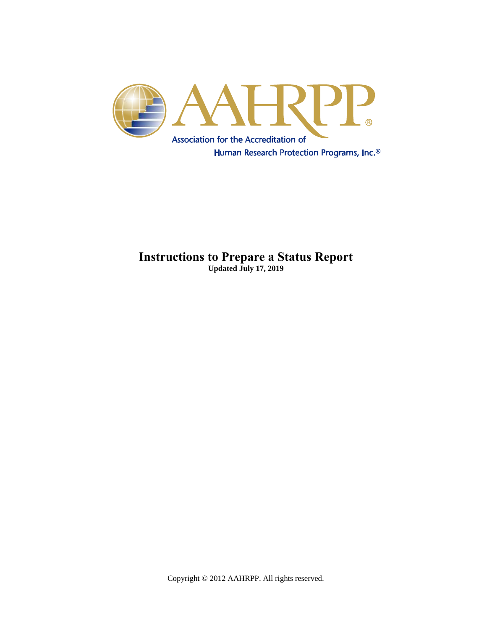

### **Instructions to Prepare a Status Report Updated July 17, 2019**

Copyright © 2012 AAHRPP. All rights reserved.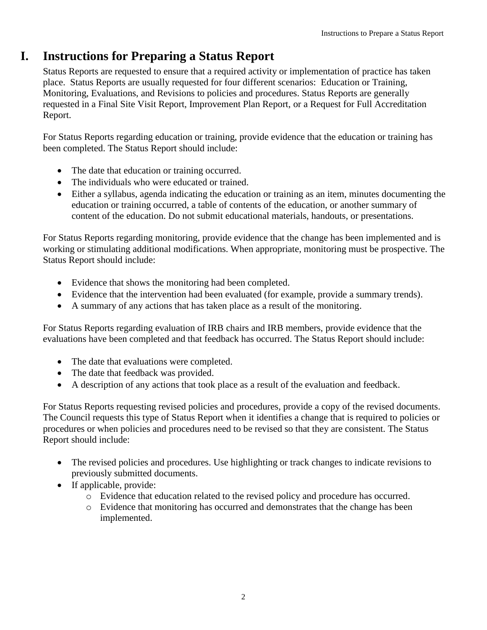# **I. Instructions for Preparing a Status Report**

Status Reports are requested to ensure that a required activity or implementation of practice has taken place. Status Reports are usually requested for four different scenarios: Education or Training, Monitoring, Evaluations, and Revisions to policies and procedures. Status Reports are generally requested in a Final Site Visit Report, Improvement Plan Report, or a Request for Full Accreditation Report.

For Status Reports regarding education or training, provide evidence that the education or training has been completed. The Status Report should include:

- The date that education or training occurred.
- The individuals who were educated or trained.
- Either a syllabus, agenda indicating the education or training as an item, minutes documenting the education or training occurred, a table of contents of the education, or another summary of content of the education. Do not submit educational materials, handouts, or presentations.

For Status Reports regarding monitoring, provide evidence that the change has been implemented and is working or stimulating additional modifications. When appropriate, monitoring must be prospective. The Status Report should include:

- Evidence that shows the monitoring had been completed.
- Evidence that the intervention had been evaluated (for example, provide a summary trends).
- A summary of any actions that has taken place as a result of the monitoring.

For Status Reports regarding evaluation of IRB chairs and IRB members, provide evidence that the evaluations have been completed and that feedback has occurred. The Status Report should include:

- The date that evaluations were completed.
- The date that feedback was provided.
- A description of any actions that took place as a result of the evaluation and feedback.

For Status Reports requesting revised policies and procedures, provide a copy of the revised documents. The Council requests this type of Status Report when it identifies a change that is required to policies or procedures or when policies and procedures need to be revised so that they are consistent. The Status Report should include:

- The revised policies and procedures. Use highlighting or track changes to indicate revisions to previously submitted documents.
- If applicable, provide:
	- o Evidence that education related to the revised policy and procedure has occurred.
	- o Evidence that monitoring has occurred and demonstrates that the change has been implemented.